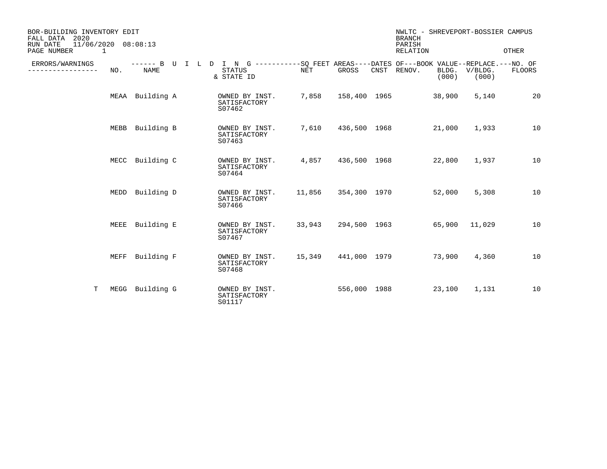| BOR-BUILDING INVENTORY EDIT<br>FALL DATA<br>2020<br>$11/06/2020$ $08:08:13$<br>RUN DATE |      |                 |  |                                                                                                                            |                     |              | <b>BRANCH</b><br>PARISH | NWLTC - SHREVEPORT-BOSSIER CAMPUS |                  |        |
|-----------------------------------------------------------------------------------------|------|-----------------|--|----------------------------------------------------------------------------------------------------------------------------|---------------------|--------------|-------------------------|-----------------------------------|------------------|--------|
| PAGE NUMBER<br>$\mathbf 1$                                                              |      |                 |  |                                                                                                                            |                     |              |                         | RELATION                          | OTHER            |        |
| ERRORS/WARNINGS<br>----------                                                           | NO.  | <b>NAME</b>     |  | ------ B U I L D I N G -----------SQ FEET AREAS----DATES OF---BOOK VALUE--REPLACE.---NO. OF<br><b>STATUS</b><br>& STATE ID | NET                 | GROSS        |                         | CNST RENOV.<br>BLDG.<br>(000)     | V/BLDG.<br>(000) | FLOORS |
|                                                                                         |      | MEAA Building A |  | OWNED BY INST.<br>SATISFACTORY<br>S07462                                                                                   | 7,858               |              |                         | 158,400 1965<br>38,900            | 5,140            | 20     |
|                                                                                         |      | MEBB Building B |  | OWNED BY INST.<br>SATISFACTORY<br>S07463                                                                                   | 7,610               | 436,500 1968 |                         | 21,000                            | 1,933            | 10     |
|                                                                                         |      | MECC Building C |  | OWNED BY INST.<br>SATISFACTORY<br>S07464                                                                                   | 4,857               | 436,500 1968 |                         | 22,800                            | 1,937            | 10     |
|                                                                                         | MEDD | Building D      |  | OWNED BY INST.<br>SATISFACTORY<br>S07466                                                                                   | 11,856              | 354,300 1970 |                         | 52,000                            | 5,308            | 10     |
|                                                                                         | MEEE | Building E      |  | OWNED BY INST.<br>SATISFACTORY<br>S07467                                                                                   | 33,943              | 294,500 1963 |                         | 65,900                            | 11,029           | 10     |
|                                                                                         | MEFF | Building F      |  | OWNED BY INST.<br>SATISFACTORY<br>S07468                                                                                   | 15,349 441,000 1979 |              |                         | 73,900                            | 4,360            | 10     |
| T.                                                                                      | MEGG | Building G      |  | OWNED BY INST.<br>SATISFACTORY<br>S01117                                                                                   |                     | 556,000 1988 |                         | 23,100                            | 1,131            | 10     |